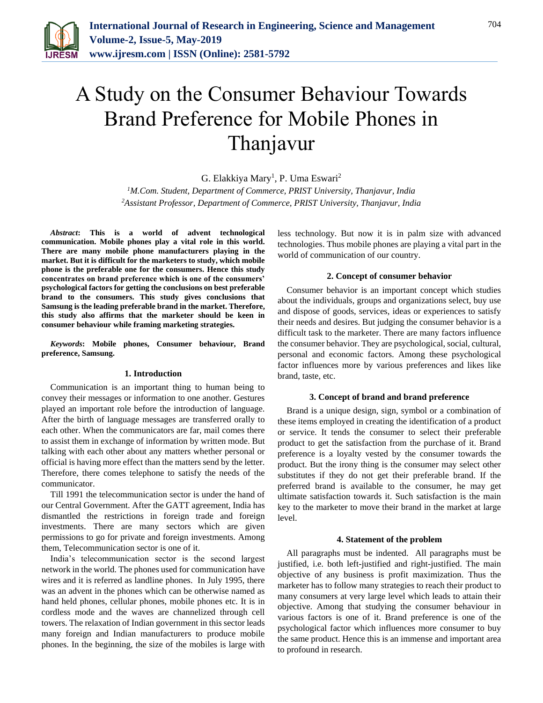

# A Study on the Consumer Behaviour Towards Brand Preference for Mobile Phones in Thanjavur

G. Elakkiya Mary<sup>1</sup>, P. Uma Eswari<sup>2</sup>

*<sup>1</sup>M.Com. Student, Department of Commerce, PRIST University, Thanjavur, India 2Assistant Professor, Department of Commerce, PRIST University, Thanjavur, India*

*Abstract***: This is a world of advent technological communication. Mobile phones play a vital role in this world. There are many mobile phone manufacturers playing in the market. But it is difficult for the marketers to study, which mobile phone is the preferable one for the consumers. Hence this study concentrates on brand preference which is one of the consumers' psychological factors for getting the conclusions on best preferable brand to the consumers. This study gives conclusions that Samsung is the leading preferable brand in the market. Therefore, this study also affirms that the marketer should be keen in consumer behaviour while framing marketing strategies.**

*Keywords***: Mobile phones, Consumer behaviour, Brand preference, Samsung.**

#### **1. Introduction**

Communication is an important thing to human being to convey their messages or information to one another. Gestures played an important role before the introduction of language. After the birth of language messages are transferred orally to each other. When the communicators are far, mail comes there to assist them in exchange of information by written mode. But talking with each other about any matters whether personal or official is having more effect than the matters send by the letter. Therefore, there comes telephone to satisfy the needs of the communicator.

Till 1991 the telecommunication sector is under the hand of our Central Government. After the GATT agreement, India has dismantled the restrictions in foreign trade and foreign investments. There are many sectors which are given permissions to go for private and foreign investments. Among them, Telecommunication sector is one of it.

India's telecommunication sector is the second largest network in the world. The phones used for communication have wires and it is referred as landline phones. In July 1995, there was an advent in the phones which can be otherwise named as hand held phones, cellular phones, mobile phones etc. It is in cordless mode and the waves are channelized through cell towers. The relaxation of Indian government in this sector leads many foreign and Indian manufacturers to produce mobile phones. In the beginning, the size of the mobiles is large with

less technology. But now it is in palm size with advanced technologies. Thus mobile phones are playing a vital part in the world of communication of our country.

## **2. Concept of consumer behavior**

Consumer behavior is an important concept which studies about the individuals, groups and organizations select, buy use and dispose of goods, services, ideas or experiences to satisfy their needs and desires. But judging the consumer behavior is a difficult task to the marketer. There are many factors influence the consumer behavior. They are psychological, social, cultural, personal and economic factors. Among these psychological factor influences more by various preferences and likes like brand, taste, etc.

#### **3. Concept of brand and brand preference**

Brand is a unique design, sign, symbol or a combination of these items employed in creating the identification of a product or service. It tends the consumer to select their preferable product to get the satisfaction from the purchase of it. Brand preference is a loyalty vested by the consumer towards the product. But the irony thing is the consumer may select other substitutes if they do not get their preferable brand. If the preferred brand is available to the consumer, he may get ultimate satisfaction towards it. Such satisfaction is the main key to the marketer to move their brand in the market at large level.

#### **4. Statement of the problem**

All paragraphs must be indented. All paragraphs must be justified, i.e. both left-justified and right-justified. The main objective of any business is profit maximization. Thus the marketer has to follow many strategies to reach their product to many consumers at very large level which leads to attain their objective. Among that studying the consumer behaviour in various factors is one of it. Brand preference is one of the psychological factor which influences more consumer to buy the same product. Hence this is an immense and important area to profound in research.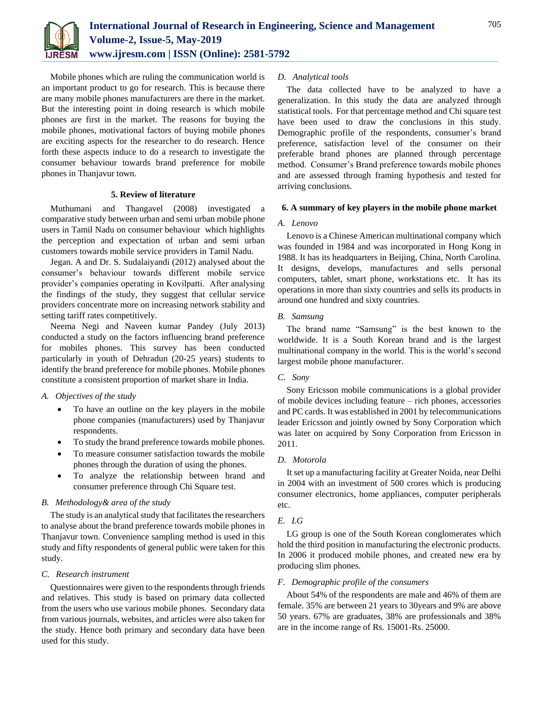

Mobile phones which are ruling the communication world is an important product to go for research. This is because there are many mobile phones manufacturers are there in the market. But the interesting point in doing research is which mobile phones are first in the market. The reasons for buying the mobile phones, motivational factors of buying mobile phones are exciting aspects for the researcher to do research. Hence forth these aspects induce to do a research to investigate the consumer behaviour towards brand preference for mobile phones in Thanjavur town.

# **5. Review of literature**

Muthumani and Thangavel (2008) investigated a comparative study between urban and semi urban mobile phone users in Tamil Nadu on consumer behaviour which highlights the perception and expectation of urban and semi urban customers towards mobile service providers in Tamil Nadu.

Jegan. A and Dr. S. Sudalaiyandi (2012) analysed about the consumer's behaviour towards different mobile service provider's companies operating in Kovilpatti. After analysing the findings of the study, they suggest that cellular service providers concentrate more on increasing network stability and setting tariff rates competitively.

Neema Negi and Naveen kumar Pandey (July 2013) conducted a study on the factors influencing brand preference for mobiles phones. This survey has been conducted particularly in youth of Dehradun (20-25 years) students to identify the brand preference for mobile phones. Mobile phones constitute a consistent proportion of market share in India.

## *A. Objectives of the study*

- To have an outline on the key players in the mobile phone companies (manufacturers) used by Thanjavur respondents.
- To study the brand preference towards mobile phones.
- To measure consumer satisfaction towards the mobile phones through the duration of using the phones.
- To analyze the relationship between brand and consumer preference through Chi Square test.

## *B. Methodology& area of the study*

The study is an analytical study that facilitates the researchers to analyse about the brand preference towards mobile phones in Thanjavur town. Convenience sampling method is used in this study and fifty respondents of general public were taken for this study.

## *C. Research instrument*

Questionnaires were given to the respondents through friends and relatives. This study is based on primary data collected from the users who use various mobile phones. Secondary data from various journals, websites, and articles were also taken for the study. Hence both primary and secondary data have been used for this study.

## *D. Analytical tools*

The data collected have to be analyzed to have a generalization. In this study the data are analyzed through statistical tools. For that percentage method and Chi square test have been used to draw the conclusions in this study. Demographic profile of the respondents, consumer's brand preference, satisfaction level of the consumer on their preferable brand phones are planned through percentage method. Consumer's Brand preference towards mobile phones and are assessed through framing hypothesis and tested for arriving conclusions.

## **6. A summary of key players in the mobile phone market**

#### *A. Lenovo*

Lenovo is a Chinese American multinational company which was founded in 1984 and was incorporated in Hong Kong in 1988. It has its headquarters in Beijing, China, North Carolina. It designs, develops, manufactures and sells personal computers, tablet, smart phone, workstations etc. It has its operations in more than sixty countries and sells its products in around one hundred and sixty countries.

## *B. Samsung*

The brand name "Samsung" is the best known to the worldwide. It is a South Korean brand and is the largest multinational company in the world. This is the world's second largest mobile phone manufacturer.

## *C. Sony*

Sony Ericsson mobile communications is a global provider of mobile devices including feature – rich phones, accessories and PC cards. It was established in 2001 by telecommunications leader Ericsson and jointly owned by Sony Corporation which was later on acquired by Sony Corporation from Ericsson in 2011.

#### *D. Motorola*

It set up a manufacturing facility at Greater Noida, near Delhi in 2004 with an investment of 500 crores which is producing consumer electronics, home appliances, computer peripherals etc.

## *E. LG*

LG group is one of the South Korean conglomerates which hold the third position in manufacturing the electronic products. In 2006 it produced mobile phones, and created new era by producing slim phones.

#### *F. Demographic profile of the consumers*

About 54% of the respondents are male and 46% of them are female. 35% are between 21 years to 30years and 9% are above 50 years. 67% are graduates, 38% are professionals and 38% are in the income range of Rs. 15001-Rs. 25000.